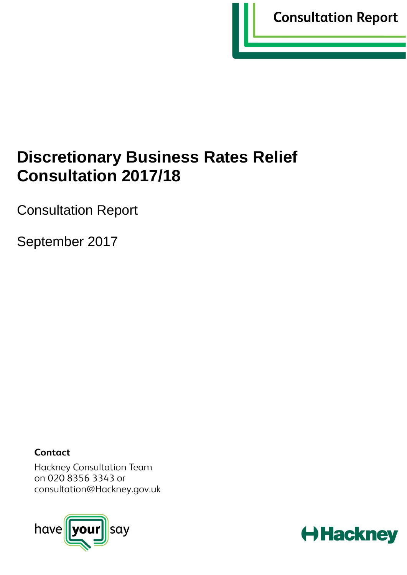

## **Discretionary Business Rates Relief Consultation 2017/18**

Consultation Report

September 2017

Contact **Hackney Consultation Team** on 020 8356 3343 or consultation@Hackney.gov.uk



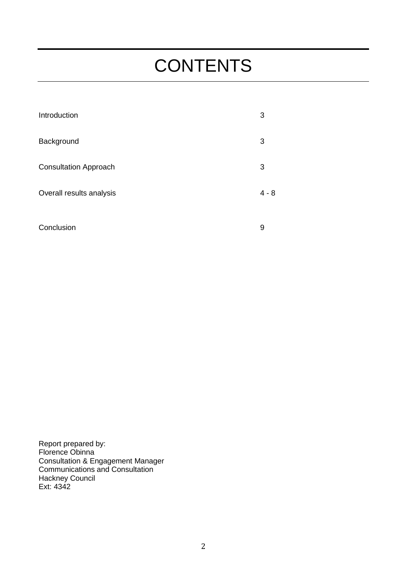# **CONTENTS**

| Introduction                 | 3     |
|------------------------------|-------|
| Background                   | 3     |
| <b>Consultation Approach</b> | 3     |
| Overall results analysis     | 4 - 8 |
| Conclusion                   | 9     |

Report prepared by: Florence Obinna Consultation & Engagement Manager Communications and Consultation Hackney Council Ext: 4342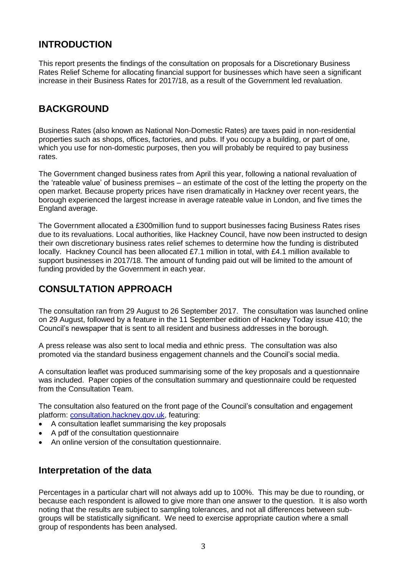## **INTRODUCTION**

This report presents the findings of the consultation on proposals for a Discretionary Business Rates Relief Scheme for allocating financial support for businesses which have seen a significant increase in their Business Rates for 2017/18, as a result of the Government led revaluation.

## **BACKGROUND**

Business Rates (also known as National Non-Domestic Rates) are taxes paid in non-residential properties such as shops, offices, factories, and pubs. If you occupy a building, or part of one, which you use for non-domestic purposes, then you will probably be required to pay business rates.

The Government changed business rates from April this year, following a national revaluation of the 'rateable value' of business premises – an estimate of the cost of the letting the property on the open market. Because property prices have risen dramatically in Hackney over recent years, the borough experienced the largest increase in average rateable value in London, and five times the England average.

The Government allocated a £300million fund to support businesses facing Business Rates rises due to its revaluations. Local authorities, like Hackney Council, have now been instructed to design their own discretionary business rates relief schemes to determine how the funding is distributed locally. Hackney Council has been allocated £7.1 million in total, with £4.1 million available to support businesses in 2017/18. The amount of funding paid out will be limited to the amount of funding provided by the Government in each year.

## **CONSULTATION APPROACH**

The consultation ran from 29 August to 26 September 2017. The consultation was launched online on 29 August, followed by a feature in the 11 September edition of Hackney Today issue 410; the Council's newspaper that is sent to all resident and business addresses in the borough.

A press release was also sent to local media and ethnic press. The consultation was also promoted via the standard business engagement channels and the Council's social media.

A consultation leaflet was produced summarising some of the key proposals and a questionnaire was included. Paper copies of the consultation summary and questionnaire could be requested from the Consultation Team.

The consultation also featured on the front page of the Council's consultation and engagement platform: consultation.hackney.gov.uk, featuring:

- A consultation leaflet summarising the key proposals
- A pdf of the consultation questionnaire
- An online version of the consultation questionnaire.

### **Interpretation of the data**

Percentages in a particular chart will not always add up to 100%. This may be due to rounding, or because each respondent is allowed to give more than one answer to the question. It is also worth noting that the results are subject to sampling tolerances, and not all differences between subgroups will be statistically significant. We need to exercise appropriate caution where a small group of respondents has been analysed.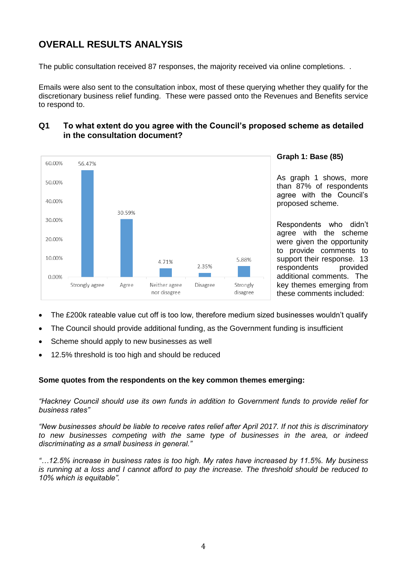## **OVERALL RESULTS ANALYSIS**

The public consultation received 87 responses, the majority received via online completions. .

Emails were also sent to the consultation inbox, most of these querying whether they qualify for the discretionary business relief funding. These were passed onto the Revenues and Benefits service to respond to.

#### **Q1 To what extent do you agree with the Council's proposed scheme as detailed in the consultation document?**



- The £200k rateable value cut off is too low, therefore medium sized businesses wouldn't qualify
- The Council should provide additional funding, as the Government funding is insufficient
- Scheme should apply to new businesses as well
- 12.5% threshold is too high and should be reduced

#### **Some quotes from the respondents on the key common themes emerging:**

*"Hackney Council should use its own funds in addition to Government funds to provide relief for business rates"*

*"New businesses should be liable to receive rates relief after April 2017. If not this is discriminatory to new businesses competing with the same type of businesses in the area, or indeed discriminating as a small business in general."*

*"…12.5% increase in business rates is too high. My rates have increased by 11.5%. My business is running at a loss and I cannot afford to pay the increase. The threshold should be reduced to 10% which is equitable".*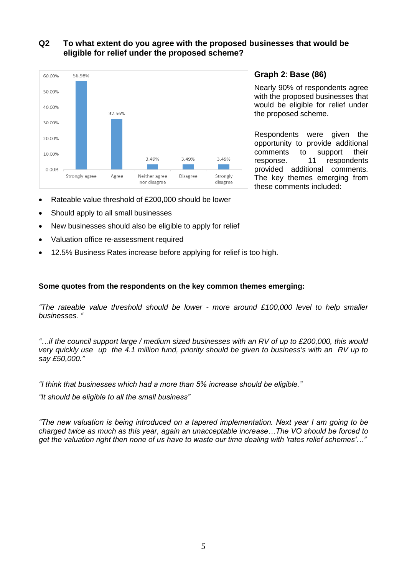#### **Q2 To what extent do you agree with the proposed businesses that would be eligible for relief under the proposed scheme?**



#### **Graph 2**: **Base (86)**

Nearly 90% of respondents agree with the proposed businesses that would be eligible for relief under the proposed scheme.

Respondents were given the opportunity to provide additional comments to support their response. 11 respondents provided additional comments. The key themes emerging from these comments included:

- Rateable value threshold of £200,000 should be lower
- Should apply to all small businesses
- New businesses should also be eligible to apply for relief
- Valuation office re-assessment required
- 12.5% Business Rates increase before applying for relief is too high.

#### **Some quotes from the respondents on the key common themes emerging:**

*"The rateable value threshold should be lower - more around £100,000 level to help smaller businesses. "*

*"…if the council support large / medium sized businesses with an RV of up to £200,000, this would very quickly use up the 4.1 million fund, priority should be given to business's with an RV up to say £50,000."*

*"I think that businesses which had a more than 5% increase should be eligible."*

*"It should be eligible to all the small business"* 

*"The new valuation is being introduced on a tapered implementation. Next year I am going to be charged twice as much as this year, again an unacceptable increase…The VO should be forced to get the valuation right then none of us have to waste our time dealing with 'rates relief schemes'…"*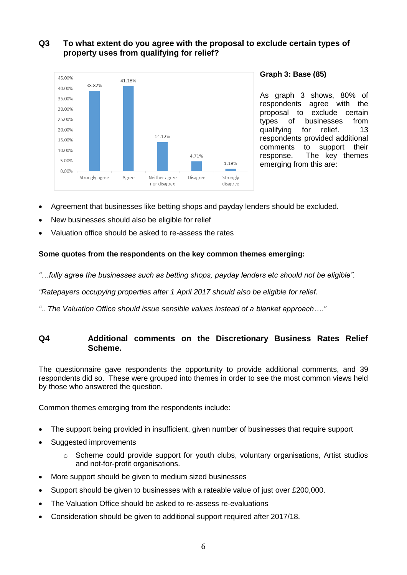#### **Q3 To what extent do you agree with the proposal to exclude certain types of property uses from qualifying for relief?**



**Graph 3: Base (85)**

As graph 3 shows, 80% of respondents agree with the proposal to exclude certain types of businesses from qualifying for relief. 13 respondents provided additional comments to support their response. The key themes emerging from this are:

- Agreement that businesses like betting shops and payday lenders should be excluded.
- New businesses should also be eligible for relief
- Valuation office should be asked to re-assess the rates

#### **Some quotes from the respondents on the key common themes emerging:**

*"…fully agree the businesses such as betting shops, payday lenders etc should not be eligible".*

*"Ratepayers occupying properties after 1 April 2017 should also be eligible for relief.*

*".. The Valuation Office should issue sensible values instead of a blanket approach…."*

#### **Q4 Additional comments on the Discretionary Business Rates Relief Scheme.**

The questionnaire gave respondents the opportunity to provide additional comments, and 39 respondents did so. These were grouped into themes in order to see the most common views held by those who answered the question.

Common themes emerging from the respondents include:

- The support being provided in insufficient, given number of businesses that require support
- Suggested improvements
	- o Scheme could provide support for youth clubs, voluntary organisations, Artist studios and not-for-profit organisations.
- More support should be given to medium sized businesses
- Support should be given to businesses with a rateable value of just over £200,000.
- The Valuation Office should be asked to re-assess re-evaluations
- Consideration should be given to additional support required after 2017/18.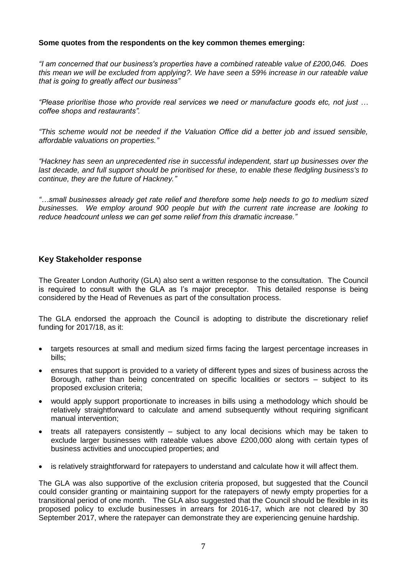#### **Some quotes from the respondents on the key common themes emerging:**

*"I am concerned that our business's properties have a combined rateable value of £200,046. Does this mean we will be excluded from applying?. We have seen a 59% increase in our rateable value that is going to greatly affect our business"*

*"Please prioritise those who provide real services we need or manufacture goods etc, not just … coffee shops and restaurants".*

*"This scheme would not be needed if the Valuation Office did a better job and issued sensible, affordable valuations on properties."*

*"Hackney has seen an unprecedented rise in successful independent, start up businesses over the last decade, and full support should be prioritised for these, to enable these fledgling business's to continue, they are the future of Hackney."*

*"…small businesses already get rate relief and therefore some help needs to go to medium sized businesses. We employ around 900 people but with the current rate increase are looking to reduce headcount unless we can get some relief from this dramatic increase."*

#### **Key Stakeholder response**

The Greater London Authority (GLA) also sent a written response to the consultation. The Council is required to consult with the GLA as I's major preceptor. This detailed response is being considered by the Head of Revenues as part of the consultation process.

The GLA endorsed the approach the Council is adopting to distribute the discretionary relief funding for 2017/18, as it:

- targets resources at small and medium sized firms facing the largest percentage increases in bills;
- ensures that support is provided to a variety of different types and sizes of business across the Borough, rather than being concentrated on specific localities or sectors – subject to its proposed exclusion criteria;
- would apply support proportionate to increases in bills using a methodology which should be relatively straightforward to calculate and amend subsequently without requiring significant manual intervention;
- treats all ratepayers consistently subject to any local decisions which may be taken to exclude larger businesses with rateable values above £200,000 along with certain types of business activities and unoccupied properties; and
- is relatively straightforward for ratepayers to understand and calculate how it will affect them.

The GLA was also supportive of the exclusion criteria proposed, but suggested that the Council could consider granting or maintaining support for the ratepayers of newly empty properties for a transitional period of one month. The GLA also suggested that the Council should be flexible in its proposed policy to exclude businesses in arrears for 2016-17, which are not cleared by 30 September 2017, where the ratepayer can demonstrate they are experiencing genuine hardship.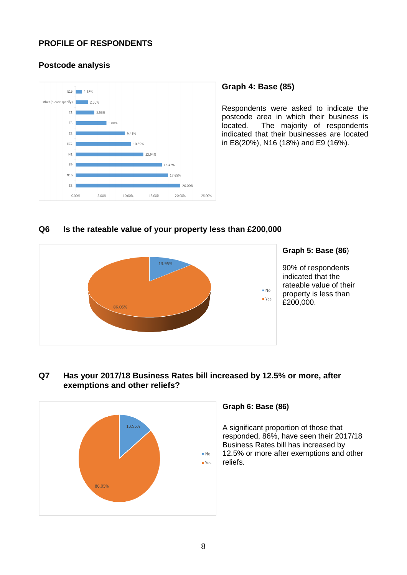#### **PROFILE OF RESPONDENTS**

#### **Postcode analysis**



#### **Graph 4: Base (85)**

Respondents were asked to indicate the postcode area in which their business is located. The majority of respondents indicated that their businesses are located in E8(20%), N16 (18%) and E9 (16%).

#### **Q6 Is the rateable value of your property less than £200,000**



#### **Graph 5: Base (86**)

90% of respondents indicated that the rateable value of their property is less than £200,000.

#### **Q7 Has your 2017/18 Business Rates bill increased by 12.5% or more, after exemptions and other reliefs?**



#### **Graph 6: Base (86)**

A significant proportion of those that responded, 86%, have seen their 2017/18 Business Rates bill has increased by 12.5% or more after exemptions and other reliefs.